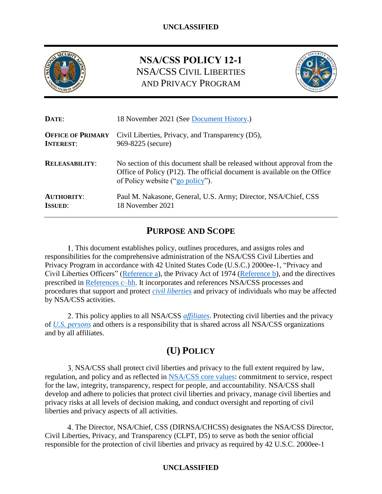

# **NSA/CSS POLICY 12-1** NSA/CSS CIVIL LIBERTIES AND PRIVACY PROGRAM



| DATE:                    | 18 November 2021 (See Document History.)                                                                                                                                                |  |
|--------------------------|-----------------------------------------------------------------------------------------------------------------------------------------------------------------------------------------|--|
| <b>OFFICE OF PRIMARY</b> | Civil Liberties, Privacy, and Transparency (D5),                                                                                                                                        |  |
| <b>INTEREST:</b>         | 969-8225 (secure)                                                                                                                                                                       |  |
| <b>RELEASABILITY:</b>    | No section of this document shall be released without approval from the<br>Office of Policy (P12). The official document is available on the Office<br>of Policy website ("go policy"). |  |
| <b>AUTHORITY:</b>        | Paul M. Nakasone, General, U.S. Army; Director, NSA/Chief, CSS                                                                                                                          |  |
| <b>ISSUED:</b>           | 18 November 2021                                                                                                                                                                        |  |

# **PURPOSE AND SCOPE**

This document establishes policy, outlines procedures, and assigns roles and responsibilities for the comprehensive administration of the NSA/CSS Civil Liberties and Privacy Program in accordance with 42 United States Code (U.S.C.) 2000ee-1, "Privacy and Civil Liberties Officers" [\(Reference a\)](#page-13-0), the Privacy Act of 1974 [\(Reference b\)](#page-13-1), and the directives prescribed in [References c–hh.](#page-13-2) It incorporates and references NSA/CSS processes and procedures that support and protect *[civil liberties](#page-15-0)* and privacy of individuals who may be affected by NSA/CSS activities.

This policy applies to all NSA/CSS *[affiliates](#page-15-1)*. Protecting civil liberties and the privacy of *[U.S. persons](#page-18-1)* and others is a responsibility that is shared across all NSA/CSS organizations and by all affiliates.

# **(U) POLICY**

NSA/CSS shall protect civil liberties and privacy to the full extent required by law, regulation, and policy and as reflected in [NSA/CSS core values:](https://home.web.nsa.ic.gov/files/1535/NSA-Core-Values-Brochure.pdf) commitment to service, respect for the law, integrity, transparency, respect for people, and accountability. NSA/CSS shall develop and adhere to policies that protect civil liberties and privacy, manage civil liberties and privacy risks at all levels of decision making, and conduct oversight and reporting of civil liberties and privacy aspects of all activities.

The Director, NSA/Chief, CSS (DIRNSA/CHCSS) designates the NSA/CSS Director, Civil Liberties, Privacy, and Transparency (CLPT, D5) to serve as both the senior official responsible for the protection of civil liberties and privacy as required by 42 U.S.C. 2000ee-1

## **UNCLASSIFIED**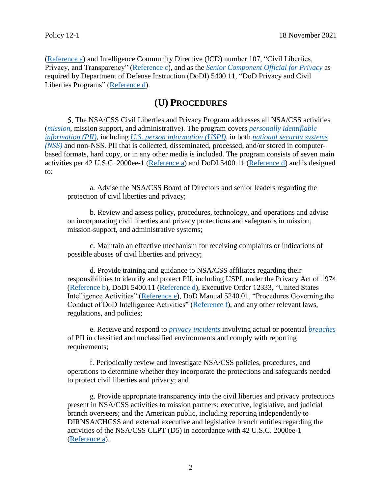[\(Reference a\)](#page-13-0) and Intelligence Community Directive (ICD) number 107, "Civil Liberties, Privacy, and Transparency" [\(Reference c\)](#page-13-2), and as the *[Senior Component Official for Privacy](#page-17-0)* as required by Department of Defense Instruction (DoDI) 5400.11, "DoD Privacy and Civil Liberties Programs" [\(Reference d\)](#page-13-3).

## **(U) PROCEDURES**

5. The NSA/CSS Civil Liberties and Privacy Program addresses all NSA/CSS activities (*[mission](#page-16-0)*, mission support, and administrative). The program covers *[personally identifiable](#page-16-1)  [information \(PII\)](#page-16-1)*, including *[U.S. person information \(USPI\)](#page-18-2)*, in both *national [security systems](#page-16-2)  [\(NSS\)](#page-16-2)* and non-NSS. PII that is collected, disseminated, processed, and/or stored in computerbased formats, hard copy, or in any other media is included. The program consists of seven main activities per 42 U.S.C. 2000ee-1 [\(Reference a\)](#page-13-0) and DoDI 5400.11 [\(Reference d\)](#page-13-3) and is designed to:

a. Advise the NSA/CSS Board of Directors and senior leaders regarding the protection of civil liberties and privacy;

b. Review and assess policy, procedures, technology, and operations and advise on incorporating civil liberties and privacy protections and safeguards in mission, mission-support, and administrative systems;

c. Maintain an effective mechanism for receiving complaints or indications of possible abuses of civil liberties and privacy;

d. Provide training and guidance to NSA/CSS affiliates regarding their responsibilities to identify and protect PII, including USPI, under the Privacy Act of 1974 [\(Reference b\)](#page-13-1), DoDI 5400.11 [\(Reference d\)](#page-13-3), Executive Order 12333, "United States Intelligence Activities" [\(Reference e\)](#page-13-4), DoD Manual 5240.01, "Procedures Governing the Conduct of DoD Intelligence Activities" [\(Reference f\)](#page-13-5), and any other relevant laws, regulations, and policies;

e. Receive and respond to *[privacy incidents](#page-17-1)* involving actual or potential *[breaches](#page-15-2)* of PII in classified and unclassified environments and comply with reporting requirements;

<span id="page-1-0"></span>f. Periodically review and investigate NSA/CSS policies, procedures, and operations to determine whether they incorporate the protections and safeguards needed to protect civil liberties and privacy; and

g. Provide appropriate transparency into the civil liberties and privacy protections present in NSA/CSS activities to mission partners; executive, legislative, and judicial branch overseers; and the American public, including reporting independently to DIRNSA/CHCSS and external executive and legislative branch entities regarding the activities of the NSA/CSS CLPT (D5) in accordance with 42 U.S.C. 2000ee-1 [\(Reference a\)](#page-13-0).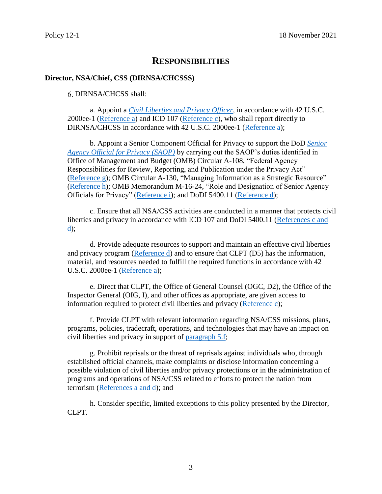## **RESPONSIBILITIES**

#### **Director, NSA/Chief, CSS (DIRNSA/CHCSSS)**

DIRNSA/CHCSS shall:

a. Appoint a *[Civil Liberties and Privacy Officer](#page-15-3)*, in accordance with 42 U.S.C. 2000ee-1 [\(Reference a\)](#page-13-0) and ICD 107 [\(Reference c\)](#page-13-2), who shall report directly to DIRNSA/CHCSS in accordance with 42 U.S.C. 2000ee-1 [\(Reference a\)](#page-13-0);

b. Appoint a Senior Component Official for Privacy to support the DoD *[Senior](#page-17-2)  [Agency Official for Privacy \(SAOP\)](#page-17-2)* by carrying out the SAOP's duties identified in Office of Management and Budget (OMB) Circular A-108, "Federal Agency Responsibilities for Review, Reporting, and Publication under the Privacy Act" [\(Reference g\)](#page-13-6); OMB Circular A-130, "Managing Information as a Strategic Resource" [\(Reference h\)](#page-13-7); OMB Memorandum M-16-24, "Role and Designation of Senior Agency Officials for Privacy" [\(Reference i\)](#page-13-8); and DoDI 5400.11 [\(Reference d\)](#page-13-3);

c. Ensure that all NSA/CSS activities are conducted in a manner that protects civil liberties and privacy in accordance with ICD 107 and DoDI 5400.11 [\(References c and](#page-13-2)  [d\)](#page-13-2);

<span id="page-2-0"></span>d. Provide adequate resources to support and maintain an effective civil liberties and privacy program [\(Reference d\)](#page-13-3) and to ensure that CLPT (D5) has the information, material, and resources needed to fulfill the required functions in accordance with 42 U.S.C. 2000ee-1 [\(Reference a\)](#page-13-0);

e. Direct that CLPT, the Office of General Counsel (OGC, D2), the Office of the Inspector General (OIG, I), and other offices as appropriate, are given access to information required to protect civil liberties and privacy [\(Reference c\)](#page-13-2);

f. Provide CLPT with relevant information regarding NSA/CSS missions, plans, programs, policies, tradecraft, operations, and technologies that may have an impact on civil liberties and privacy in support of [paragraph 5.f;](#page-1-0)

g. Prohibit reprisals or the threat of reprisals against individuals who, through established official channels, make complaints or disclose information concerning a possible violation of civil liberties and/or privacy protections or in the administration of programs and operations of NSA/CSS related to efforts to protect the nation from terrorism [\(References a](#page-13-0) and d); and

h. Consider specific, limited exceptions to this policy presented by the Director, CLPT.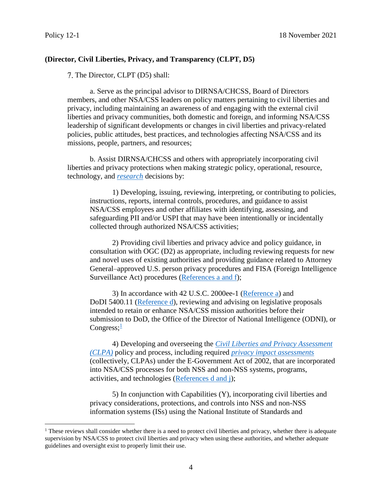$\overline{a}$ 

### **(Director, Civil Liberties, Privacy, and Transparency (CLPT, D5)**

7. The Director, CLPT (D5) shall:

a. Serve as the principal advisor to DIRNSA/CHCSS, Board of Directors members, and other NSA/CSS leaders on policy matters pertaining to civil liberties and privacy, including maintaining an awareness of and engaging with the external civil liberties and privacy communities, both domestic and foreign, and informing NSA/CSS leadership of significant developments or changes in civil liberties and privacy-related policies, public attitudes, best practices, and technologies affecting NSA/CSS and its missions, people, partners, and resources;

b. Assist DIRNSA/CHCSS and others with appropriately incorporating civil liberties and privacy protections when making strategic policy, operational, resource, technology, and *[research](#page-17-3)* decisions by:

1) Developing, issuing, reviewing, interpreting, or contributing to policies, instructions, reports, internal controls, procedures, and guidance to assist NSA/CSS employees and other affiliates with identifying, assessing, and safeguarding PII and/or USPI that may have been intentionally or incidentally collected through authorized NSA/CSS activities;

2) Providing civil liberties and privacy advice and policy guidance, in consultation with OGC (D2) as appropriate, including reviewing requests for new and novel uses of existing authorities and providing guidance related to Attorney General–approved U.S. person privacy procedures and FISA (Foreign Intelligence Surveillance Act) procedures [\(References](#page-13-0) a and f);

3) In accordance with 42 U.S.C. 2000ee-1 [\(Reference a\)](#page-13-0) and DoDI 5400.11 [\(Reference d\)](#page-13-3), reviewing and advising on legislative proposals intended to retain or enhance NSA/CSS mission authorities before their submission to DoD, the Office of the Director of National Intelligence (ODNI), or Congress; $\frac{1}{2}$  $\frac{1}{2}$  $\frac{1}{2}$ 

4) Developing and overseeing the *[Civil Liberties and Privacy Assessment](#page-15-4)  [\(CLPA\)](#page-15-4)* policy and process, including required *privacy [impact assessments](#page-17-4)* (collectively, CLPAs) under the E-Government Act of 2002, that are incorporated into NSA/CSS processes for both NSS and non-NSS systems, programs, activities, and technologies [\(References d and j\)](#page-13-3);

5) In conjunction with Capabilities (Y), incorporating civil liberties and privacy considerations, protections, and controls into NSS and non-NSS information systems (ISs) using the National Institute of Standards and

<span id="page-3-0"></span> $<sup>1</sup>$  These reviews shall consider whether there is a need to protect civil liberties and privacy, whether there is adequate</sup> supervision by NSA/CSS to protect civil liberties and privacy when using these authorities, and whether adequate guidelines and oversight exist to properly limit their use.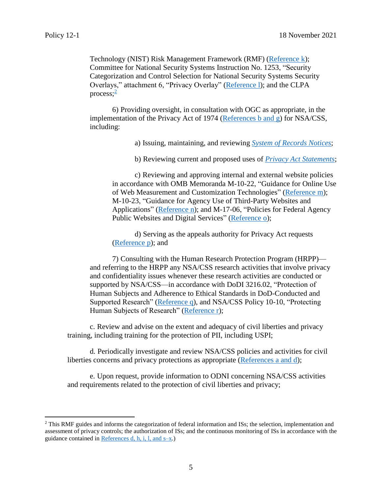$\overline{a}$ 

Technology (NIST) Risk Management Framework (RMF) [\(Reference k\)](#page-13-9); Committee for National Security Systems Instruction No. 1253, "Security Categorization and Control Selection for National Security Systems Security Overlays," attachment 6, "Privacy Overlay" [\(Reference l\)](#page-13-10); and the CLPA process; [2](#page-4-0)

6) Providing oversight, in consultation with OGC as appropriate, in the implementation of the Privacy Act of 1974 [\(References b](#page-13-1) and g) for NSA/CSS, including:

a) Issuing, maintaining, and reviewing *[System of Records Notices](#page-18-3)*;

b) Reviewing current and proposed uses of *[Privacy Act Statements](#page-16-3)*;

c) Reviewing and approving internal and external website policies in accordance with OMB Memoranda M-10-22, "Guidance for Online Use of Web Measurement and Customization Technologies" [\(Reference m\)](#page-13-11); M-10-23, "Guidance for Agency Use of Third-Party Websites and Applications" [\(Reference n\)](#page-13-12); and M-17-06, "Policies for Federal Agency Public Websites and Digital Services" [\(Reference o\)](#page-13-13);

d) Serving as the appeals authority for Privacy Act requests [\(Reference p\)](#page-13-14); and

7) Consulting with the Human Research Protection Program (HRPP) and referring to the HRPP any NSA/CSS research activities that involve privacy and confidentiality issues whenever these research activities are conducted or supported by NSA/CSS—in accordance with DoDI 3216.02, "Protection of Human Subjects and Adherence to Ethical Standards in DoD-Conducted and Supported Research" [\(Reference q\)](#page-14-0), and NSA/CSS Policy 10-10, "Protecting Human Subjects of Research" [\(Reference r\)](#page-14-1);

c. Review and advise on the extent and adequacy of civil liberties and privacy training, including training for the protection of PII, including USPI;

d. Periodically investigate and review NSA/CSS policies and activities for civil liberties concerns and privacy protections as appropriate [\(References a](#page-13-0) and d);

e. Upon request, provide information to ODNI concerning NSA/CSS activities and requirements related to the protection of civil liberties and privacy;

<span id="page-4-0"></span><sup>&</sup>lt;sup>2</sup> This RMF guides and informs the categorization of federal information and ISs; the selection, implementation and assessment of privacy controls; the authorization of ISs; and the continuous monitoring of ISs in accordance with the guidance contained in [References d, h, i,](#page-13-3) l, and  $s-x$ .)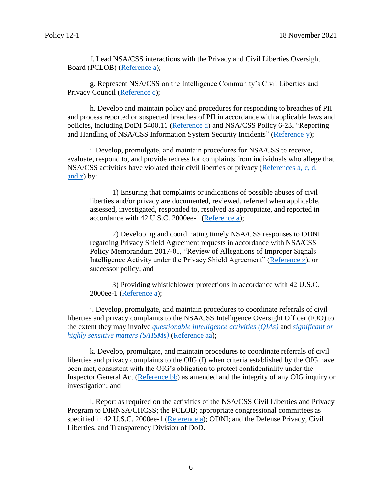f. Lead NSA/CSS interactions with the Privacy and Civil Liberties Oversight Board (PCLOB) [\(Reference a\)](#page-13-0);

g. Represent NSA/CSS on the Intelligence Community's Civil Liberties and Privacy Council [\(Reference c\)](#page-13-2);

h. Develop and maintain policy and procedures for responding to breaches of PII and process reported or suspected breaches of PII in accordance with applicable laws and policies, including DoDI 5400.11 [\(Reference d\)](#page-13-3) and NSA/CSS Policy 6-23, "Reporting and Handling of NSA/CSS Information System Security Incidents" [\(Reference y\)](#page-14-2);

i. Develop, promulgate, and maintain procedures for NSA/CSS to receive, evaluate, respond to, and provide redress for complaints from individuals who allege that NSA/CSS activities have violated their civil liberties or privacy [\(References a, c, d,](#page-13-0) [and](#page-13-0) z) by:

1) Ensuring that complaints or indications of possible abuses of civil liberties and/or privacy are documented, reviewed, referred when applicable, assessed, investigated, responded to, resolved as appropriate, and reported in accordance with 42 U.S.C. 2000ee-1 [\(Reference a\)](#page-13-0);

2) Developing and coordinating timely NSA/CSS responses to ODNI regarding Privacy Shield Agreement requests in accordance with NSA/CSS Policy Memorandum 2017-01, "Review of Allegations of Improper Signals Intelligence Activity under the Privacy Shield Agreement" [\(Reference z\)](#page-14-3), or successor policy; and

3) Providing whistleblower protections in accordance with 42 U.S.C. 2000ee-1 [\(Reference a\)](#page-13-0);

j. Develop, promulgate, and maintain procedures to coordinate referrals of civil liberties and privacy complaints to the NSA/CSS Intelligence Oversight Officer (IOO) to the extent they may involve *[questionable intelligence activities \(QIAs\)](#page-17-5)* and *[significant or](#page-17-6)  [highly sensitive matters \(S/HSMs\)](#page-17-6)* [\(Reference aa\)](#page-14-4);

k. Develop, promulgate, and maintain procedures to coordinate referrals of civil liberties and privacy complaints to the OIG (I) when criteria established by the OIG have been met, consistent with the OIG's obligation to protect confidentiality under the Inspector General Act [\(Reference bb\)](#page-14-5) as amended and the integrity of any OIG inquiry or investigation; and

l. Report as required on the activities of the NSA/CSS Civil Liberties and Privacy Program to DIRNSA/CHCSS; the PCLOB; appropriate congressional committees as specified in 42 U.S.C. 2000ee-1 [\(Reference a\)](#page-13-0); ODNI; and the Defense Privacy, Civil Liberties, and Transparency Division of DoD.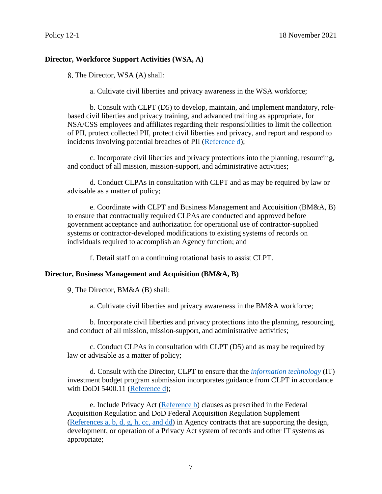### **Director, Workforce Support Activities (WSA, A)**

8. The Director, WSA (A) shall:

a. Cultivate civil liberties and privacy awareness in the WSA workforce;

b. Consult with CLPT (D5) to develop, maintain, and implement mandatory, rolebased civil liberties and privacy training, and advanced training as appropriate, for NSA/CSS employees and affiliates regarding their responsibilities to limit the collection of PII, protect collected PII, protect civil liberties and privacy, and report and respond to incidents involving potential breaches of PII [\(Reference d\)](#page-13-3);

c. Incorporate civil liberties and privacy protections into the planning, resourcing, and conduct of all mission, mission-support, and administrative activities;

d. Conduct CLPAs in consultation with CLPT and as may be required by law or advisable as a matter of policy;

e. Coordinate with CLPT and Business Management and Acquisition (BM&A, B) to ensure that contractually required CLPAs are conducted and approved before government acceptance and authorization for operational use of contractor-supplied systems or contractor-developed modifications to existing systems of records on individuals required to accomplish an Agency function; and

f. Detail staff on a continuing rotational basis to assist CLPT.

#### **Director, Business Management and Acquisition (BM&A, B)**

9. The Director, BM&A (B) shall:

a. Cultivate civil liberties and privacy awareness in the BM&A workforce;

b. Incorporate civil liberties and privacy protections into the planning, resourcing, and conduct of all mission, mission-support, and administrative activities;

c. Conduct CLPAs in consultation with CLPT (D5) and as may be required by law or advisable as a matter of policy;

d. Consult with the Director, CLPT to ensure that the *[information technology](#page-16-4)* (IT) investment budget program submission incorporates guidance from CLPT in accordance with DoDI 5400.11 [\(Reference d\)](#page-13-3);

e. Include Privacy Act [\(Reference b\)](#page-13-1) clauses as prescribed in the Federal Acquisition Regulation and DoD Federal Acquisition Regulation Supplement [\(References a, b, d, g, h, cc, and dd\)](#page-13-0) in Agency contracts that are supporting the design, development, or operation of a Privacy Act system of records and other IT systems as appropriate;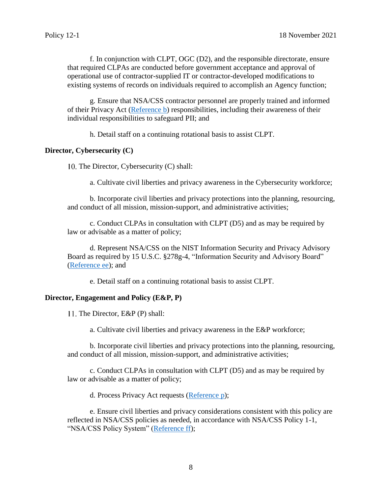f. In conjunction with CLPT, OGC (D2), and the responsible directorate, ensure that required CLPAs are conducted before government acceptance and approval of operational use of contractor-supplied IT or contractor-developed modifications to existing systems of records on individuals required to accomplish an Agency function;

g. Ensure that NSA/CSS contractor personnel are properly trained and informed of their Privacy Act [\(Reference b\)](#page-13-1) responsibilities, including their awareness of their individual responsibilities to safeguard PII; and

h. Detail staff on a continuing rotational basis to assist CLPT.

#### **Director, Cybersecurity (C)**

10. The Director, Cybersecurity  $(C)$  shall:

a. Cultivate civil liberties and privacy awareness in the Cybersecurity workforce;

b. Incorporate civil liberties and privacy protections into the planning, resourcing, and conduct of all mission, mission-support, and administrative activities;

c. Conduct CLPAs in consultation with CLPT (D5) and as may be required by law or advisable as a matter of policy;

d. Represent NSA/CSS on the NIST Information Security and Privacy Advisory Board as required by 15 U.S.C. §278g-4, "Information Security and Advisory Board" [\(Reference ee\)](#page-14-6); and

e. Detail staff on a continuing rotational basis to assist CLPT.

#### **Director, Engagement and Policy (E&P, P)**

11. The Director, E&P (P) shall:

a. Cultivate civil liberties and privacy awareness in the E&P workforce;

b. Incorporate civil liberties and privacy protections into the planning, resourcing, and conduct of all mission, mission-support, and administrative activities;

c. Conduct CLPAs in consultation with CLPT (D5) and as may be required by law or advisable as a matter of policy;

d. Process Privacy Act requests [\(Reference p\)](#page-13-14);

e. Ensure civil liberties and privacy considerations consistent with this policy are reflected in NSA/CSS policies as needed, in accordance with NSA/CSS Policy 1-1, "NSA/CSS Policy System" [\(Reference ff\)](#page-14-7);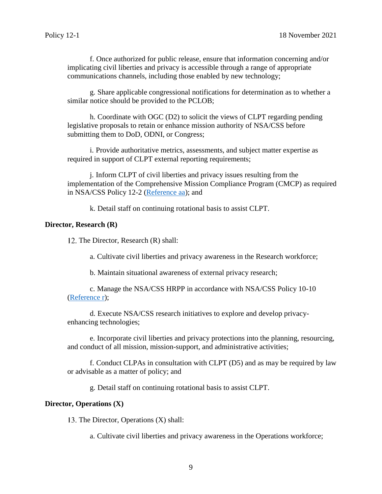f. Once authorized for public release, ensure that information concerning and/or implicating civil liberties and privacy is accessible through a range of appropriate communications channels, including those enabled by new technology;

g. Share applicable congressional notifications for determination as to whether a similar notice should be provided to the PCLOB;

h. Coordinate with OGC (D2) to solicit the views of CLPT regarding pending legislative proposals to retain or enhance mission authority of NSA/CSS before submitting them to DoD, ODNI, or Congress;

i. Provide authoritative metrics, assessments, and subject matter expertise as required in support of CLPT external reporting requirements;

j. Inform CLPT of civil liberties and privacy issues resulting from the implementation of the Comprehensive Mission Compliance Program (CMCP) as required in NSA/CSS Policy 12-2 [\(Reference aa\)](#page-14-4); and

k. Detail staff on continuing rotational basis to assist CLPT.

#### **Director, Research (R)**

12. The Director, Research (R) shall:

a. Cultivate civil liberties and privacy awareness in the Research workforce;

b. Maintain situational awareness of external privacy research;

c. Manage the NSA/CSS HRPP in accordance with NSA/CSS Policy 10-10 [\(Reference r\)](#page-14-1);

d. Execute NSA/CSS research initiatives to explore and develop privacyenhancing technologies;

e. Incorporate civil liberties and privacy protections into the planning, resourcing, and conduct of all mission, mission-support, and administrative activities;

f. Conduct CLPAs in consultation with CLPT (D5) and as may be required by law or advisable as a matter of policy; and

g. Detail staff on continuing rotational basis to assist CLPT.

#### **Director, Operations (X)**

13. The Director, Operations  $(X)$  shall:

a. Cultivate civil liberties and privacy awareness in the Operations workforce;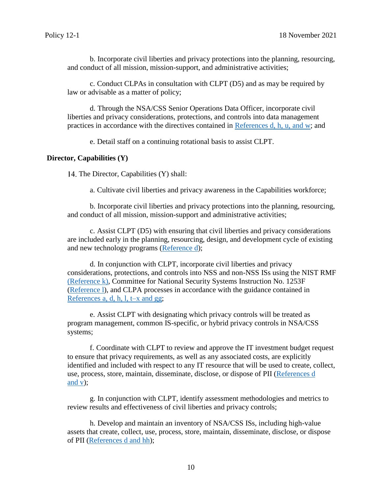b. Incorporate civil liberties and privacy protections into the planning, resourcing, and conduct of all mission, mission-support, and administrative activities;

c. Conduct CLPAs in consultation with CLPT (D5) and as may be required by law or advisable as a matter of policy;

d. Through the NSA/CSS Senior Operations Data Officer, incorporate civil liberties and privacy considerations, protections, and controls into data management practices in accordance with the directives contained in [References d, h, u, and w;](#page-13-3) and

e. Detail staff on a continuing rotational basis to assist CLPT.

#### **Director, Capabilities (Y)**

14. The Director, Capabilities (Y) shall:

a. Cultivate civil liberties and privacy awareness in the Capabilities workforce;

b. Incorporate civil liberties and privacy protections into the planning, resourcing, and conduct of all mission, mission-support and administrative activities;

c. Assist CLPT (D5) with ensuring that civil liberties and privacy considerations are included early in the planning, resourcing, design, and development cycle of existing and new technology programs [\(Reference d\)](#page-13-3);

d. In conjunction with CLPT, incorporate civil liberties and privacy considerations, protections, and controls into NSS and non-NSS ISs using the NIST RMF [\(Reference k\),](#page-13-9) Committee for National Security Systems Instruction No. 1253F [\(Reference l\)](#page-13-10), and CLPA processes in accordance with the guidance contained in [References a, d, h, l, t–x and gg;](#page-13-0)

e. Assist CLPT with designating which privacy controls will be treated as program management, common IS-specific, or hybrid privacy controls in NSA/CSS systems;

f. Coordinate with CLPT to review and approve the IT investment budget request to ensure that privacy requirements, as well as any associated costs, are explicitly identified and included with respect to any IT resource that will be used to create, collect, use, process, store, maintain, disseminate, disclose, or dispose of PII [\(References](#page-13-3) d [and v\)](#page-13-3);

g. In conjunction with CLPT, identify assessment methodologies and metrics to review results and effectiveness of civil liberties and privacy controls;

h. Develop and maintain an inventory of NSA/CSS ISs, including high-value assets that create, collect, use, process, store, maintain, disseminate, disclose, or dispose of PII [\(References d and hh\)](#page-13-3);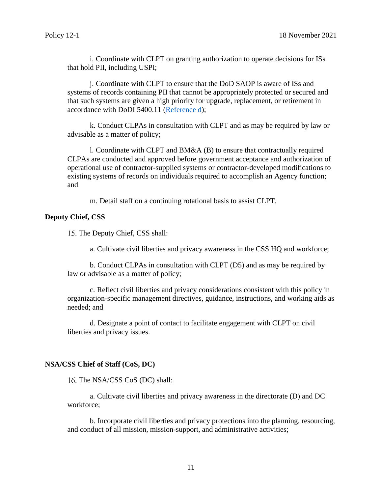i. Coordinate with CLPT on granting authorization to operate decisions for ISs that hold PII, including USPI;

j. Coordinate with CLPT to ensure that the DoD SAOP is aware of ISs and systems of records containing PII that cannot be appropriately protected or secured and that such systems are given a high priority for upgrade, replacement, or retirement in accordance with DoDI 5400.11 [\(Reference d\)](#page-13-3);

k. Conduct CLPAs in consultation with CLPT and as may be required by law or advisable as a matter of policy;

l. Coordinate with CLPT and BM&A (B) to ensure that contractually required CLPAs are conducted and approved before government acceptance and authorization of operational use of contractor-supplied systems or contractor-developed modifications to existing systems of records on individuals required to accomplish an Agency function; and

m. Detail staff on a continuing rotational basis to assist CLPT.

#### **Deputy Chief, CSS**

15. The Deputy Chief, CSS shall:

a. Cultivate civil liberties and privacy awareness in the CSS HQ and workforce;

b. Conduct CLPAs in consultation with CLPT (D5) and as may be required by law or advisable as a matter of policy;

c. Reflect civil liberties and privacy considerations consistent with this policy in organization-specific management directives, guidance, instructions, and working aids as needed; and

d. Designate a point of contact to facilitate engagement with CLPT on civil liberties and privacy issues.

#### **NSA/CSS Chief of Staff (CoS, DC)**

16. The NSA/CSS CoS (DC) shall:

a. Cultivate civil liberties and privacy awareness in the directorate (D) and DC workforce;

b. Incorporate civil liberties and privacy protections into the planning, resourcing, and conduct of all mission, mission-support, and administrative activities;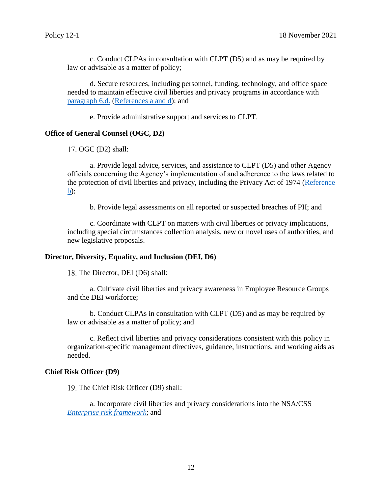c. Conduct CLPAs in consultation with CLPT (D5) and as may be required by law or advisable as a matter of policy;

d. Secure resources, including personnel, funding, technology, and office space needed to maintain effective civil liberties and privacy programs in accordance with [paragraph](#page-2-0) 6.d. [\(References](#page-13-0) a and d); and

e. Provide administrative support and services to CLPT.

#### **Office of General Counsel (OGC, D2)**

 $17.$  OGC  $(D2)$  shall:

a. Provide legal advice, services, and assistance to CLPT (D5) and other Agency officials concerning the Agency's implementation of and adherence to the laws related to the protection of civil liberties and privacy, including the Privacy Act of 1974 [\(Reference](#page-13-1)  [b\);](#page-13-1)

b. Provide legal assessments on all reported or suspected breaches of PII; and

c. Coordinate with CLPT on matters with civil liberties or privacy implications, including special circumstances collection analysis, new or novel uses of authorities, and new legislative proposals.

#### **Director, Diversity, Equality, and Inclusion (DEI, D6)**

18. The Director, DEI (D6) shall:

a. Cultivate civil liberties and privacy awareness in Employee Resource Groups and the DEI workforce;

b. Conduct CLPAs in consultation with CLPT (D5) and as may be required by law or advisable as a matter of policy; and

c. Reflect civil liberties and privacy considerations consistent with this policy in organization-specific management directives, guidance, instructions, and working aids as needed.

#### **Chief Risk Officer (D9)**

19. The Chief Risk Officer (D9) shall:

a. Incorporate civil liberties and privacy considerations into the NSA/CSS *[Enterprise risk framework](#page-15-5)*; and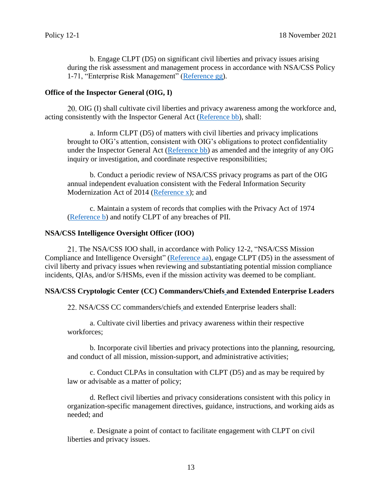b. Engage CLPT (D5) on significant civil liberties and privacy issues arising during the risk assessment and management process in accordance with NSA/CSS Policy 1-71, "Enterprise Risk Management" [\(Reference gg\)](#page-14-8).

#### **Office of the Inspector General (OIG, I)**

OIG (I) shall cultivate civil liberties and privacy awareness among the workforce and, acting consistently with the Inspector General Act [\(Reference bb\)](#page-14-5), shall:

a. Inform CLPT (D5) of matters with civil liberties and privacy implications brought to OIG's attention, consistent with OIG's obligations to protect confidentiality under the Inspector General Act [\(Reference bb\)](#page-14-5) as amended and the integrity of any OIG inquiry or investigation, and coordinate respective responsibilities;

b. Conduct a periodic review of NSA/CSS privacy programs as part of the OIG annual independent evaluation consistent with the Federal Information Security Modernization Act of 2014 [\(Reference x\)](#page-14-9); and

c. Maintain a system of records that complies with the Privacy Act of 1974 [\(Reference b\)](#page-13-1) and notify CLPT of any breaches of PII.

#### **NSA/CSS Intelligence Oversight Officer (IOO)**

21. The NSA/CSS IOO shall, in accordance with Policy 12-2, "NSA/CSS Mission Compliance and Intelligence Oversight" [\(Reference aa\)](#page-14-4), engage CLPT (D5) in the assessment of civil liberty and privacy issues when reviewing and substantiating potential mission compliance incidents, QIAs, and/or S/HSMs, even if the mission activity was deemed to be compliant.

#### **NSA/CSS Cryptologic Center (CC) Commanders/Chiefs and Extended Enterprise Leaders**

NSA/CSS CC commanders/chiefs and extended Enterprise leaders shall:

a. Cultivate civil liberties and privacy awareness within their respective workforces;

b. Incorporate civil liberties and privacy protections into the planning, resourcing, and conduct of all mission, mission-support, and administrative activities;

c. Conduct CLPAs in consultation with CLPT (D5) and as may be required by law or advisable as a matter of policy;

d. Reflect civil liberties and privacy considerations consistent with this policy in organization-specific management directives, guidance, instructions, and working aids as needed; and

e. Designate a point of contact to facilitate engagement with CLPT on civil liberties and privacy issues.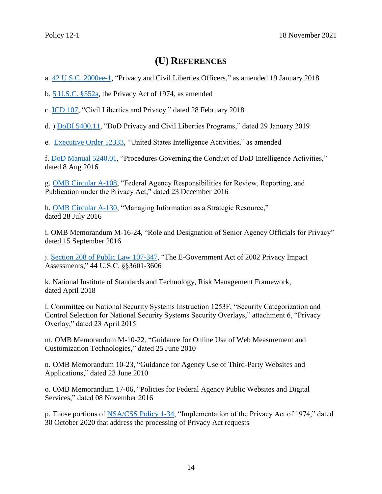# **(U) REFERENCES**

<span id="page-13-0"></span>a. [42 U.S.C. 2000ee-1,](https://policy.sp.web.nsa.ic.gov/PolicyDepot/USC%2042%20section%202000ee%2020180119.pdf#search=privacy%20and%20civil%20liberties%20officer) "Privacy and Civil Liberties Officers," as amended 19 January 2018

<span id="page-13-1"></span>b. [5 U.S.C. §552a,](https://policy.sp.web.nsa.ic.gov/PolicyDepot/PL%2093-579%2019740101.pdf#search=the%20privacy%20act%20of%201974) the Privacy Act of 1974, as amended

<span id="page-13-2"></span>c. [ICD 107,](https://intelshare.intelink.ic.gov/sites/policyandstrategy/Policy%20Documents/ICD%20107%20-%20Civil%20Liberties,%20Privacy,%20and%20Transparency%20(28%20Feb%202018).pdf) "Civil Liberties and Privacy," dated 28 February 2018

<span id="page-13-3"></span>d. [\) DoDI 5400.11,](https://policy.sp.web.nsa.ic.gov/PolicyDepot/DoDI%205400.11%2020190129.pdf#search=42%20U%2ES%2EC%2E%202000ee%2D1) "DoD Privacy and Civil Liberties Programs," dated 29 January 2019

<span id="page-13-4"></span>e. [Executive Order](https://policy.sp.web.nsa.ic.gov/PolicyDepot/EO%2012333%2020080730.pdf#search=executive%20order%2012333) 12333, "United States Intelligence Activities," as amended

<span id="page-13-5"></span>f. DoD Manual [5240.01,](https://policy.sp.web.nsa.ic.gov/PolicyDepot/DoDM%205240.01%2020160808.pdf#search=5240%2E01) "Procedures Governing the Conduct of DoD Intelligence Activities," dated 8 Aug 2016

<span id="page-13-6"></span>g. [OMB Circular A-108,](https://policy.sp.web.nsa.ic.gov/PolicyDepot/OMB%20Circular%20A-108%2020161223.pdf#search=OMB%20Circular%20A%2D108) "Federal Agency Responsibilities for Review, Reporting, and Publication under the Privacy Act," dated 23 December 2016

<span id="page-13-7"></span>h. [OMB Circular](https://policy.sp.web.nsa.ic.gov/PolicyDepot/OMB%20Circular%20A-130%2020160728.pdf#search=OMB%20Circular%20A%2D130) A-130, "Managing Information as a Strategic Resource," dated 28 July 2016

<span id="page-13-8"></span>i. OMB Memorandum M-16-24, "Role and Designation of Senior Agency Officials for Privacy" dated 15 September 2016

j. [Section 208 of Public Law 107-347,](https://policy.sp.web.nsa.ic.gov/PolicyDepot/PL%20107-347%2020021217.pdf#search=the%20e%2Dgovernment%20act%20of%202002) "The E-Government Act of 2002 Privacy Impact Assessments," 44 U.S.C. §§3601-3606

<span id="page-13-9"></span>k. National Institute of Standards and Technology, Risk Management Framework, dated April 2018

<span id="page-13-10"></span>l. Committee on National Security Systems Instruction 1253F, "Security Categorization and Control Selection for National Security Systems Security Overlays," attachment 6, "Privacy Overlay," dated 23 April 2015

<span id="page-13-11"></span>m. OMB Memorandum M-10-22, "Guidance for Online Use of Web Measurement and Customization Technologies," dated 25 June 2010

<span id="page-13-12"></span>n. OMB Memorandum 10-23, "Guidance for Agency Use of Third-Party Websites and Applications," dated 23 June 2010

<span id="page-13-13"></span>o. OMB Memorandum 17-06, "Policies for Federal Agency Public Websites and Digital Services," dated 08 November 2016

<span id="page-13-14"></span>p. Those portions of [NSA/CSS Policy 1-34,](https://urn.nsa.ic.gov/policy1-34) "Implementation of the Privacy Act of 1974," dated 30 October 2020 that address the processing of Privacy Act requests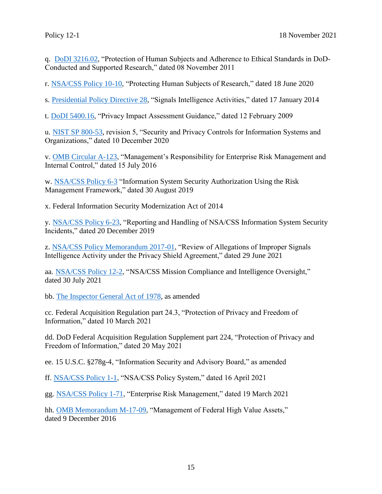<span id="page-14-0"></span>q. [DoDI 3216.02,](https://policy.sp.web.nsa.ic.gov/PolicyDepot/DoDI%203216.02%2020200415.pdf#search=dodi%203216%2E02) "Protection of Human Subjects and Adherence to Ethical Standards in DoD-Conducted and Supported Research," dated 08 November 2011

<span id="page-14-1"></span>r. [NSA/CSS Policy 10-10,](https://urn.nsa.ic.gov/policy10-10) "Protecting Human Subjects of Research," dated 18 June 2020

s. [Presidential Policy Directive 28,](https://policy.sp.web.nsa.ic.gov/PolicyDepot/PPD%2028%2020140117.pdf#search=PPD%2D28) "Signals Intelligence Activities," dated 17 January 2014

t. [DoDI 5400.16,](https://policy.sp.web.nsa.ic.gov/PolicyDepot/DoDI%205400.16%2020170811.pdf#search=The%20privacy%20act%20request) "Privacy Impact Assessment Guidance," dated 12 February 2009

u. [NIST SP 800-53,](https://policy.sp.web.nsa.ic.gov/PolicyDepot/NIST%20SP%20800-53%20rev%205%2020200901.pdf#search=nist%20sp%20800%2D53) revision 5, "Security and Privacy Controls for Information Systems and Organizations," dated 10 December 2020

v. [OMB Circular A-123,](https://policy.sp.web.nsa.ic.gov/PolicyDepot/OMB%20Circular%20A-123%2020041221.pdf#search=omb%20circular%20a%2D123) "Management's Responsibility for Enterprise Risk Management and Internal Control," dated 15 July 2016

w. [NSA/CSS Policy 6-3](https://urn.nsa.ic.gov/policy6-3) "Information System Security Authorization Using the Risk Management Framework," dated 30 August 2019

<span id="page-14-9"></span>x. Federal Information Security Modernization Act of 2014

<span id="page-14-2"></span>y. [NSA/CSS Policy 6-23,](https://urn.nsa.ic.gov/policy6-23) "Reporting and Handling of NSA/CSS Information System Security Incidents," dated 20 December 2019

<span id="page-14-3"></span>z. [NSA/CSS Policy Memorandum 2017-01,](https://urn.nsa.ic.gov/pmemo2017-01) "Review of Allegations of Improper Signals Intelligence Activity under the Privacy Shield Agreement," dated 29 June 2021

<span id="page-14-4"></span>aa. [NSA/CSS Policy 12-2,](https://urn.nsa.ic.gov/policy12-2) "NSA/CSS Mission Compliance and Intelligence Oversight," dated 30 July 2021

<span id="page-14-5"></span>bb. [The Inspector General Act of 1978,](https://policy.sp.web.nsa.ic.gov/PolicyDepot/PL%2095-452%2020161216.pdf#search=inspector%20general%20act%20of%201978) as amended

cc. Federal Acquisition Regulation part 24.3, "Protection of Privacy and Freedom of Information," dated 10 March 2021

dd. DoD Federal Acquisition Regulation Supplement part 224, "Protection of Privacy and Freedom of Information," dated 20 May 2021

<span id="page-14-6"></span>ee. 15 U.S.C. §278g-4, "Information Security and Advisory Board," as amended

<span id="page-14-7"></span>ff. [NSA/CSS Policy 1-1,](https://urn.nsa.ic.gov/policy1-1) "NSA/CSS Policy System," dated 16 April 2021

<span id="page-14-8"></span>gg. [NSA/CSS Policy 1-71,](https://urn.nsa.ic.gov/policy1-71) "Enterprise Risk Management," dated 19 March 2021

hh. [OMB Memorandum M-17-09,](https://policy.sp.web.nsa.ic.gov/PolicyDepot/OMB%20Memo%20M-17-09%2020161209.pdf#search=omb%20memorandum%20m%2D17%2D09) "Management of Federal High Value Assets," dated 9 December 2016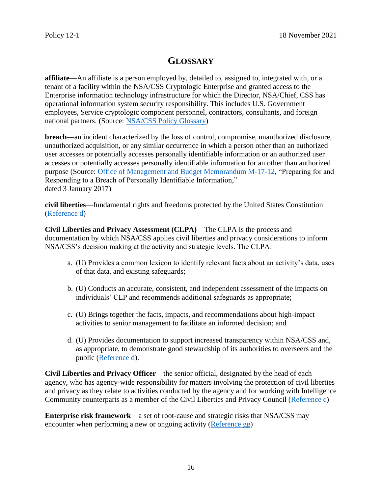# **GLOSSARY**

<span id="page-15-1"></span>**affiliate**—An affiliate is a person employed by, detailed to, assigned to, integrated with, or a tenant of a facility within the NSA/CSS Cryptologic Enterprise and granted access to the Enterprise information technology infrastructure for which the Director, NSA/Chief, CSS has operational information system security responsibility. This includes U.S. Government employees, Service cryptologic component personnel, contractors, consultants, and foreign national partners. (Source: [NSA/CSS Policy Glossary\)](https://siteworks.web.nsa.ic.gov/p12/a/#Affiliate6-0005)

<span id="page-15-2"></span>**breach**—an incident characterized by the loss of control, compromise, unauthorized disclosure, unauthorized acquisition, or any similar occurrence in which a person other than an authorized user accesses or potentially accesses personally identifiable information or an authorized user accesses or potentially accesses personally identifiable information for an other than authorized purpose (Source: [Office of Management and Budget](https://policy.sp.web.nsa.ic.gov/PolicyDepot/OMB%20M-17-12%2020170103.pdf#search=omb%20memorandum%20M%2D17%2D12) Memorandum M-17-12, "Preparing for and Responding to a Breach of Personally Identifiable Information," dated 3 January 2017)

<span id="page-15-0"></span>**civil liberties**—fundamental rights and freedoms protected by the United States Constitution [\(Reference d\)](#page-13-3)

<span id="page-15-4"></span>**Civil Liberties and Privacy Assessment (CLPA)**—The CLPA is the process and documentation by which NSA/CSS applies civil liberties and privacy considerations to inform NSA/CSS's decision making at the activity and strategic levels. The CLPA:

- a. (U) Provides a common lexicon to identify relevant facts about an activity's data, uses of that data, and existing safeguards;
- b. (U) Conducts an accurate, consistent, and independent assessment of the impacts on individuals' CLP and recommends additional safeguards as appropriate;
- c. (U) Brings together the facts, impacts, and recommendations about high-impact activities to senior management to facilitate an informed decision; and
- d. (U) Provides documentation to support increased transparency within NSA/CSS and, as appropriate, to demonstrate good stewardship of its authorities to overseers and the public [\(Reference d\)](#page-13-3).

<span id="page-15-3"></span>**Civil Liberties and Privacy Officer**—the senior official, designated by the head of each agency, who has agency-wide responsibility for matters involving the protection of civil liberties and privacy as they relate to activities conducted by the agency and for working with Intelligence Community counterparts as a member of the Civil Liberties and Privacy Council [\(Reference c\)](#page-13-2)

<span id="page-15-5"></span>**Enterprise risk framework**—a set of root-cause and strategic risks that NSA/CSS may encounter when performing a new or ongoing activity [\(Reference gg\)](#page-14-8)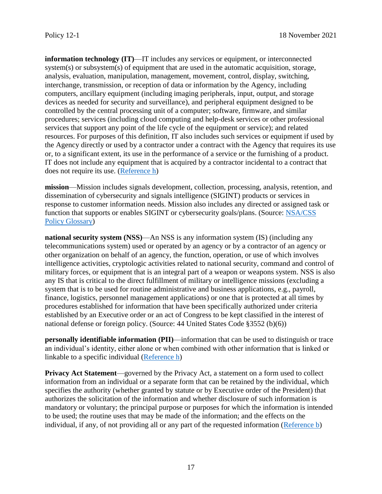<span id="page-16-4"></span>**information technology (IT)**—IT includes any services or equipment, or interconnected system(s) or subsystem(s) of equipment that are used in the automatic acquisition, storage, analysis, evaluation, manipulation, management, movement, control, display, switching, interchange, transmission, or reception of data or information by the Agency, including computers, ancillary equipment (including imaging peripherals, input, output, and storage devices as needed for security and surveillance), and peripheral equipment designed to be controlled by the central processing unit of a computer; software, firmware, and similar procedures; services (including cloud computing and help-desk services or other professional services that support any point of the life cycle of the equipment or service); and related resources. For purposes of this definition, IT also includes such services or equipment if used by the Agency directly or used by a contractor under a contract with the Agency that requires its use or, to a significant extent, its use in the performance of a service or the furnishing of a product. IT does not include any equipment that is acquired by a contractor incidental to a contract that does not require its use. [\(Reference h\)](#page-13-7)

<span id="page-16-0"></span>**mission**—Mission includes signals development, collection, processing, analysis, retention, and dissemination of cybersecurity and signals intelligence (SIGINT) products or services in response to customer information needs. Mission also includes any directed or assigned task or function that supports or enables SIGINT or cybersecurity goals/plans. (Source: [NSA/CSS](https://siteworks.web.nsa.ic.gov/p12/m/#Mission1-3-2017)  [Policy Glossary\)](https://siteworks.web.nsa.ic.gov/p12/m/#Mission1-3-2017)

<span id="page-16-2"></span>**national security system (NSS)—An NSS is any information system (IS) (including any** telecommunications system) used or operated by an agency or by a contractor of an agency or other organization on behalf of an agency, the function, operation, or use of which involves intelligence activities, cryptologic activities related to national security, command and control of military forces, or equipment that is an integral part of a weapon or weapons system. NSS is also any IS that is critical to the direct fulfillment of military or intelligence missions (excluding a system that is to be used for routine administrative and business applications, e.g., payroll, finance, logistics, personnel management applications) or one that is protected at all times by procedures established for information that have been specifically authorized under criteria established by an Executive order or an act of Congress to be kept classified in the interest of national defense or foreign policy. (Source: 44 United States Code §3552 (b)(6))

<span id="page-16-1"></span>**personally identifiable information (PII)**—information that can be used to distinguish or trace an individual's identity, either alone or when combined with other information that is linked or linkable to a specific individual [\(Reference h\)](#page-13-7)

<span id="page-16-3"></span>**Privacy Act Statement**—governed by the Privacy Act, a statement on a form used to collect information from an individual or a separate form that can be retained by the individual, which specifies the authority (whether granted by statute or by Executive order of the President) that authorizes the solicitation of the information and whether disclosure of such information is mandatory or voluntary; the principal purpose or purposes for which the information is intended to be used; the routine uses that may be made of the information; and the effects on the individual, if any, of not providing all or any part of the requested information [\(Reference b\)](#page-13-1)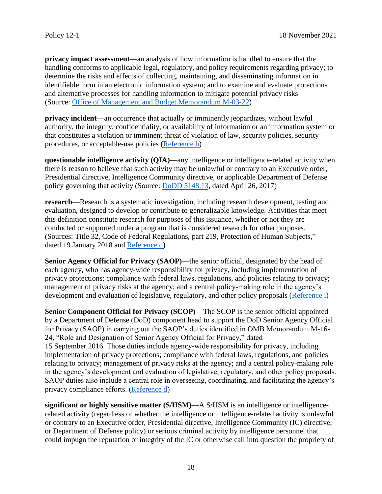<span id="page-17-4"></span>**privacy impact assessment**—an analysis of how information is handled to ensure that the handling conforms to applicable legal, regulatory, and policy requirements regarding privacy; to determine the risks and effects of collecting, maintaining, and disseminating information in identifiable form in an electronic information system; and to examine and evaluate protections and alternative processes for handling information to mitigate potential privacy risks (Source: [Office of Management and Budget](https://policy.sp.web.nsa.ic.gov/PolicyDepot/OMB%20Memo%20M-03-22%2020030926.pdf#search=omb%20memorandum%20M%2D03%2D22) Memorandum M-03-22)

<span id="page-17-1"></span>**privacy incident**—an occurrence that actually or imminently jeopardizes, without lawful authority, the integrity, confidentiality, or availability of information or an information system or that constitutes a violation or imminent threat of violation of law, security policies, security procedures, or acceptable-use policies [\(Reference h\)](#page-13-7)

<span id="page-17-5"></span>**questionable intelligence activity (QIA)**—any intelligence or intelligence-related activity when there is reason to believe that such activity may be unlawful or contrary to an Executive order, Presidential directive, Intelligence Community directive, or applicable Department of Defense policy governing that activity (Source: DoDD [5148.13,](https://policy.sp.web.nsa.ic.gov/PolicyDepot/DoDD%205148.13%2020170426.pdf#search=dodd%205148%2E13) dated April 26, 2017)

<span id="page-17-3"></span>**research**—Research is a systematic investigation, including research development, testing and evaluation, designed to develop or contribute to generalizable knowledge. Activities that meet this definition constitute research for purposes of this issuance, whether or not they are conducted or supported under a program that is considered research for other purposes. (Sources: Title 32, Code of Federal Regulations, part 219, Protection of Human Subjects," dated 19 January 2018 and [Reference q\)](#page-14-0)

<span id="page-17-2"></span>**Senior Agency Official for Privacy (SAOP)**—the senior official, designated by the head of each agency, who has agency-wide responsibility for privacy, including implementation of privacy protections; compliance with federal laws, regulations, and policies relating to privacy; management of privacy risks at the agency; and a central policy-making role in the agency's development and evaluation of legislative, regulatory, and other policy proposals [\(Reference i\)](#page-13-8)

<span id="page-17-0"></span>**Senior Component Official for Privacy (SCOP)**—The SCOP is the senior official appointed by a Department of Defense (DoD) component head to support the DoD Senior Agency Official for Privacy (SAOP) in carrying out the SAOP's duties identified in OMB Memorandum M-16- 24, "Role and Designation of Senior Agency Official for Privacy," dated 15 September 2016. Those duties include agency-wide responsibility for privacy, including implementation of privacy protections; compliance with federal laws, regulations, and policies relating to privacy; management of privacy risks at the agency; and a central policy-making role in the agency's development and evaluation of legislative, regulatory, and other policy proposals.

SAOP duties also include a central role in overseeing, coordinating, and facilitating the agency's privacy compliance efforts. [\(Reference d\)](#page-13-3)

<span id="page-17-6"></span>**significant or highly sensitive matter (S/HSM)—A S/HSM** is an intelligence or intelligencerelated activity (regardless of whether the intelligence or intelligence-related activity is unlawful or contrary to an Executive order, Presidential directive, Intelligence Community (IC) directive, or Department of Defense policy) or serious criminal activity by intelligence personnel that could impugn the reputation or integrity of the IC or otherwise call into question the propriety of